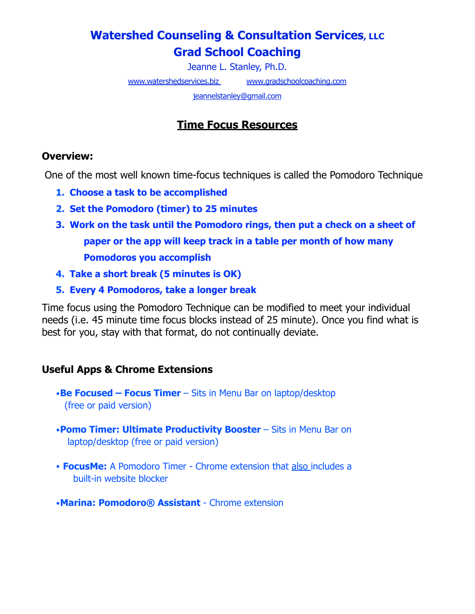# **Watershed Counseling & Consultation Services, LLC Grad School Coaching**

Jeanne L. Stanley, Ph.D.

[www.watershedservices.biz](http://www.watershedservices.biz/) www.gradschoolcoaching.com

[jeannelstanley@gmail.com](http://jeannelstanley@gmail.com)

# **Time Focus Resources**

#### **Overview:**

One of the most well known time-focus techniques is called the Pomodoro Technique

- **1. Choose a task to be accomplished**
- **2. Set the Pomodoro (timer) to 25 minutes**
- **3. Work on the task until the Pomodoro rings, then put a check on a sheet of paper or the app will keep track in a table per month of how many Pomodoros you accomplish**
- **4. Take a short break (5 minutes is OK)**
- **5. Every 4 Pomodoros, take a longer break**

Time focus using the Pomodoro Technique can be modified to meet your individual needs (i.e. 45 minute time focus blocks instead of 25 minute). Once you find what is best for you, stay with that format, do not continually deviate.

### **Useful Apps & Chrome Extensions**

- •**Be Focused Focus Timer**  Sits in Menu Bar on laptop/desktop (free or paid version)
- •**Pomo Timer: Ultimate Productivity Booster**  Sits in Menu Bar on laptop/desktop (free or paid version)
- **FocusMe:** A Pomodoro Timer Chrome extension that also includes a built-in website blocker
- •**Marina: Pomodoro® Assistant**  Chrome extension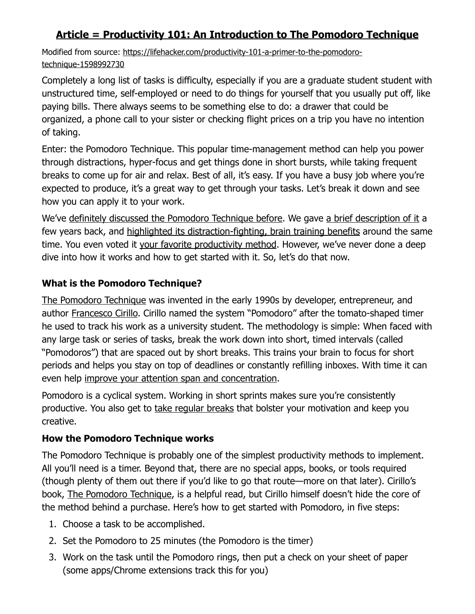## **Article = Productivity 101: An Introduction to The Pomodoro Technique**

Modified from source: [https://lifehacker.com/productivity-101-a-primer-to-the-pomodoro](https://lifehacker.com/productivity-101-a-primer-to-the-pomodoro-technique-1598992730)[technique-1598992730](https://lifehacker.com/productivity-101-a-primer-to-the-pomodoro-technique-1598992730)

Completely a long list of tasks is difficulty, especially if you are a graduate student student with unstructured time, self-employed or need to do things for yourself that you usually put off, like paying bills. There always seems to be something else to do: a drawer that could be organized, a phone call to your sister or checking flight prices on a trip you have no intention of taking.

Enter: the Pomodoro Technique. This popular time-management method can help you power through distractions, hyper-focus and get things done in short bursts, while taking frequent breaks to come up for air and relax. Best of all, it's easy. If you have a busy job where you're expected to produce, it's a great way to get through your tasks. Let's break it down and see how you can apply it to your work.

We've [definitely discussed the Pomodoro Technique before](https://lifehacker.com/tag/pomodoro). We gave [a brief description of it](http://lifehacker.com/the-pomodoro-technique-fights-deadline-anxiety-with-a-t-30951587) a few years back, and [highlighted its distraction-fighting, brain training benefits](http://lifehacker.com/the-pomodoro-technique-trains-your-brain-away-from-dist-30903715) around the same time. You even voted it [your favorite productivity method.](http://lifehacker.com/five-best-productivity-methods-5890129) However, we've never done a deep dive into how it works and how to get started with it. So, let's do that now.

### **What is the Pomodoro Technique?**

[The Pomodoro Technique](http://pomodorotechnique.com/%22%20%5Ct%20%22_blank) was invented in the early 1990s by developer, entrepreneur, and author [Francesco Cirillo.](http://francescocirillo.com/%22%20%5Ct%20%22_blank) Cirillo named the system "Pomodoro" after the tomato-shaped timer he used to track his work as a university student. The methodology is simple: When faced with any large task or series of tasks, break the work down into short, timed intervals (called "Pomodoros") that are spaced out by short breaks. This trains your brain to focus for short periods and helps you stay on top of deadlines or constantly refilling inboxes. With time it can even help [improve your attention span and concentration](http://lifehacker.com/how-can-i-improve-my-short-attention-span-949006493).

Pomodoro is a cyclical system. Working in short sprints makes sure you're consistently productive. You also get to [take regular breaks](https://lifehacker.com/remind-yourself-to-take-breaks-at-work-with-this-chrome-1831390349) that bolster your motivation and keep you creative.

### **How the Pomodoro Technique works**

The Pomodoro Technique is probably one of the simplest productivity methods to implement. All you'll need is a timer. Beyond that, there are no special apps, books, or tools required (though plenty of them out there if you'd like to go that route—more on that later). Cirillo's book, [The Pomodoro Technique](http://www.amazon.com/The-Pomodoro-Technique-Francesco-Cirillo/dp/3981567900/?ascsubtag=d2c6a755201924176024672131785348b0331c55&tag=lifehackeramzn-20%22%20%5Ct%20%22_blank), is a helpful read, but Cirillo himself doesn't hide the core of the method behind a purchase. Here's how to get started with Pomodoro, in five steps:

- 1. Choose a task to be accomplished.
- 2. Set the Pomodoro to 25 minutes (the Pomodoro is the timer)
- 3. Work on the task until the Pomodoro rings, then put a check on your sheet of paper (some apps/Chrome extensions track this for you)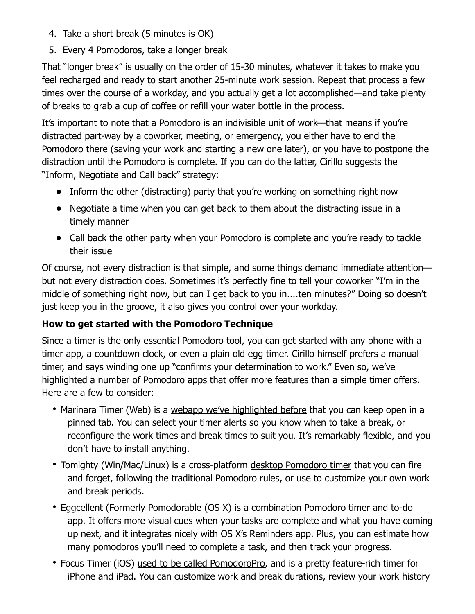- 4. Take a short break (5 minutes is OK)
- 5. Every 4 Pomodoros, take a longer break

That "longer break" is usually on the order of 15-30 minutes, whatever it takes to make you feel recharged and ready to start another 25-minute work session. Repeat that process a few times over the course of a workday, and you actually get a lot accomplished—and take plenty of breaks to grab a cup of coffee or refill your water bottle in the process.

It's important to note that a Pomodoro is an indivisible unit of work—that means if you're distracted part-way by a coworker, meeting, or emergency, you either have to end the Pomodoro there (saving your work and starting a new one later), or you have to postpone the distraction until the Pomodoro is complete. If you can do the latter, Cirillo suggests the "Inform, Negotiate and Call back" strategy:

- **•** Inform the other (distracting) party that you're working on something right now
- **•** Negotiate a time when you can get back to them about the distracting issue in a timely manner
- **•** Call back the other party when your Pomodoro is complete and you're ready to tackle their issue

Of course, not every distraction is that simple, and some things demand immediate attention but not every distraction does. Sometimes it's perfectly fine to tell your coworker "I'm in the middle of something right now, but can I get back to you in....ten minutes?" Doing so doesn't just keep you in the groove, it also gives you control over your workday.

### **How to get started with the Pomodoro Technique**

Since a timer is the only essential Pomodoro tool, you can get started with any phone with a timer app, a countdown clock, or even a plain old egg timer. Cirillo himself prefers a manual timer, and says winding one up "confirms your determination to work." Even so, we've highlighted a number of Pomodoro apps that offer more features than a simple timer offers. Here are a few to consider:

- [Marinara Timer](http://www.marinaratimer.com/%22%20%5Ct%20%22_blank) (Web) is a [webapp we've highlighted before](http://lifehacker.com/marinara-timer-is-a-flexible-web-based-pomodoro-timer-1191288959) that you can keep open in a pinned tab. You can select your timer alerts so you know when to take a break, or reconfigure the work times and break times to suit you. It's remarkably flexible, and you don't have to install anything.
- [Tomighty](http://www.tomighty.org/%22%20%5Ct%20%22_blank) (Win/Mac/Linux) is a cross-platform [desktop Pomodoro timer](http://lifehacker.com/tomighty-is-a-simple-elegant-pomodoro-timer-for-boosti-5818856) that you can fire and forget, following the traditional Pomodoro rules, or use to customize your own work and break periods.
- [Eggcellent](https://apps.apple.com/us/app/eggscellent/id522294492?mt=12%22%20%5Ct%20%22_blank) (Formerly Pomodorable (OS X) is a combination Pomodoro timer and to-do app. It offers [more visual cues when your tasks are complete](http://lifehacker.com/pomodorable-is-a-visual-pomodoro-timer-that-integrates-5935275) and what you have coming up next, and it integrates nicely with OS X's Reminders app. Plus, you can estimate how many pomodoros you'll need to complete a task, and then track your progress.
- [Focus Timer](https://itunes.apple.com/us/app/pomodoropro/id340156917?mt=8%22%20%5Ct%20%22_blank) (iOS) [used to be called PomodoroPro,](http://lifehacker.com/pomodoropro-for-iphone-keeps-you-on-task-and-productive-30794391) and is a pretty feature-rich timer for iPhone and iPad. You can customize work and break durations, review your work history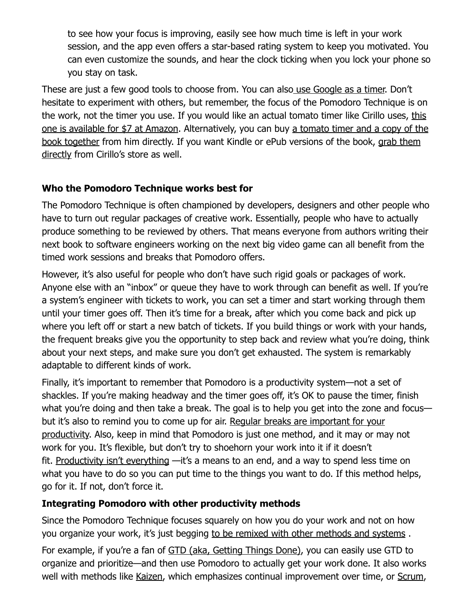to see how your focus is improving, easily see how much time is left in your work session, and the app even offers a star-based rating system to keep you motivated. You can even customize the sounds, and hear the clock ticking when you lock your phone so you stay on task.

These are just a few good tools to choose from. You can als[o use Google as a timer.](https://lifehacker.com/use-google-as-an-instant-pomodoro-timer-1834976844) Don't hesitate to experiment with others, but remember, the focus of the Pomodoro Technique is on the work, not the timer you use. If you would like an actual tomato timer like Cirillo uses, [this](http://www.amazon.com/HomeFlav-Adorables-Kitchen-Timer-Tomato/dp/B00FEC2IRM/?ascsubtag=bc39c3828f746286a1de0659d21e8be494ad07fd&tag=lifehackeramzn-20%22%20%5Ct%20%22_blank)  [one is available for \\$7 at Amazon.](http://www.amazon.com/HomeFlav-Adorables-Kitchen-Timer-Tomato/dp/B00FEC2IRM/?ascsubtag=bc39c3828f746286a1de0659d21e8be494ad07fd&tag=lifehackeramzn-20%22%20%5Ct%20%22_blank) Alternatively, you can buy [a tomato timer and a copy of the](https://francescocirillo.com/products/pomodoro-timer-software%22%20%5Ct%20%22_blank)  [book together](https://francescocirillo.com/products/pomodoro-timer-software%22%20%5Ct%20%22_blank) from him directly. If you want Kindle or ePub versions of the book, [grab them](https://francescocirillo.com/products/the-pomodoro-technique-book%22%20%5Ct%20%22_blank)  [directly](https://francescocirillo.com/products/the-pomodoro-technique-book%22%20%5Ct%20%22_blank) from Cirillo's store as well.

#### **Who the Pomodoro Technique works best for**

The Pomodoro Technique is often championed by developers, designers and other people who have to turn out regular packages of creative work. Essentially, people who have to actually produce something to be reviewed by others. That means everyone from authors writing their next book to software engineers working on the next big video game can all benefit from the timed work sessions and breaks that Pomodoro offers.

However, it's also useful for people who don't have such rigid goals or packages of work. Anyone else with an "inbox" or queue they have to work through can benefit as well. If you're a system's engineer with tickets to work, you can set a timer and start working through them until your timer goes off. Then it's time for a break, after which you come back and pick up where you left off or start a new batch of tickets. If you build things or work with your hands, the frequent breaks give you the opportunity to step back and review what you're doing, think about your next steps, and make sure you don't get exhausted. The system is remarkably adaptable to different kinds of work.

Finally, it's important to remember that Pomodoro is a productivity system—not a set of shackles. If you're making headway and the timer goes off, it's OK to pause the timer, finish what you're doing and then take a break. The goal is to help you get into the zone and focus but it's also to remind you to come up for air. Regular breaks are important for your [productivity.](http://lifehacker.com/take-more-breaks-get-more-done-5919897) Also, keep in mind that Pomodoro is just one method, and it may or may not work for you. It's flexible, but don't try to shoehorn your work into it if it doesn't fit. [Productivity isn't everything](http://lifehacker.com/productivity-isnt-everything-1551566060) —it's a means to an end, and a way to spend less time on what you have to do so you can put time to the things you want to do. If this method helps, go for it. If not, don't force it.

#### **Integrating Pomodoro with other productivity methods**

Since the Pomodoro Technique focuses squarely on how you do your work and not on how you organize your work, it's just begging [to be remixed with other methods and systems](http://lifehacker.com/build-your-own-productivity-style-by-remixing-the-best-5828033) .

For example, if you're a fan of [GTD \(aka, Getting Things Done\),](http://lifehacker.com/productivity-101-a-primer-to-the-getting-things-done-1551880955) you can easily use GTD to organize and prioritize—and then use Pomodoro to actually get your work done. It also works well with methods like [Kaizen,](https://www.mindtools.com/pages/article/newSTR_97.htm%22%20%5Ct%20%22_blank) which emphasizes continual improvement over time, or [Scrum](https://www.tutorialspoint.com/scrum/scrum_framework.htm%22%20%5Ct%20%22_blank),